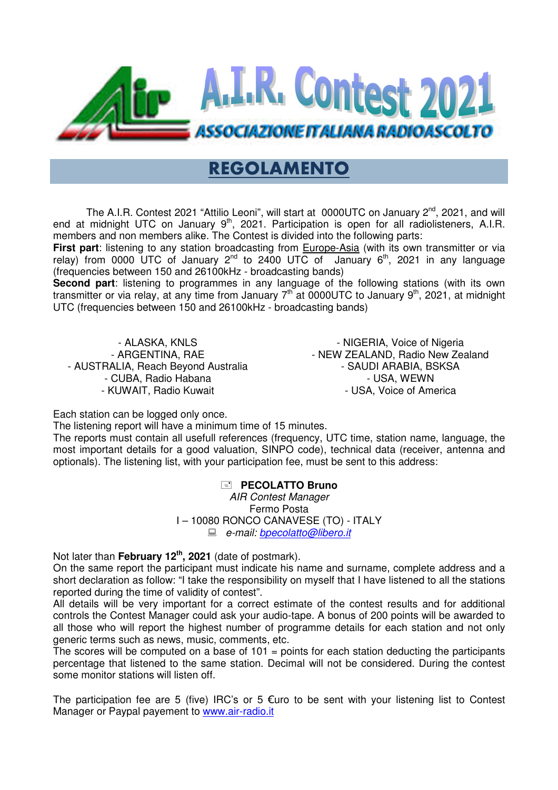

## REGOLAMENTO

The A.I.R. Contest 2021 "Attilio Leoni", will start at 0000UTC on January 2<sup>nd</sup>, 2021, and will end at midnight UTC on January 9<sup>th</sup>, 2021. Participation is open for all radiolisteners, A.I.R. members and non members alike. The Contest is divided into the following parts:

**First part**: listening to any station broadcasting from **Europe-Asia (with its own transmitter or via** end at midnight UTC on January 9<sup>m</sup>, 2021. Participation is open for all radiolisteners, A.I.R.<br>members and non members alike. The Contest is divided into the following parts:<br>**First part**: listening to any station broadca (frequencies between 150 and 26100kHz - broadcasting bands)

**Second part**: listening to programmes in any language of the following stations (with its own transmitter or via relay, at any time from January 7<sup>th</sup> at 0000UTC to January 9<sup>th</sup>, 2021, at midnight UTC (frequencies between 150 and 26100kHz - broadcasting bands)

- ALASKA, KNLS - ARGENTINA, RAE - AUSTRALIA, Reach Beyond Australia - CUBA, Radio Habana - KUWAIT, Radio Kuw Kuwait

- NIGERIA, Voice of Nigeria - NEW ZEALAND, Radio New Zealand - SAUDI ARABIA, BSKSA - USA, WEWN - USA, Voice of America

Each station can be logged only once.

The listening report will have a minimum time of 15 minutes.

The reports must contain all usefull references (frequency, UTC time, station name, language, the most important details for a good valuation, SINPO code), technical data (receiver, antenna and optionals). The listening list, with your participation fee, must be sent to this address:

**PECOLATTO Bruno** 

I – 10080 RONCO CANAVESE (TO) - ITALY AIR Contest Manager Fermo Posta e-mail: bpecolatto@libero.it

Not later than **February 12th, 202 21** (date of postmark).

On the same report the participant must indicate his name and surname, complete address and a short declaration as follow: "I take the responsibility on myself that I have listened to all the stations reported during the time of validity of contest".

All details will be very important for a correct estimate of the contest results and for additional controls the Contest Manager could ask your audio-tape. A bonus of 200 points will be awarded to all those who will report the highest number of programme details for each station and not only generic terms such as news, music, comments, etc. r participation fee, must be sent to this address:<br> **Elliphe. Contest Manager**<br>
Fermo Posta<br>
RONCO CANAVESE (TO) - ITALY<br>
e-mail: **bpecolatto@libero.it**<br>
date of postmark).<br>
date of postmark).<br>
date of postmark).<br>
date of

The scores will be computed on a base of  $101$  = points for each station deducting the participants percentage that listened to the same station. Decimal will not be considered. During the contest some monitor stations will listen off.

The participation fee are 5 (five) IRC's or 5 €uro to be sent with your listening list to Contest Manager or Paypal payement to www.air-radio.it